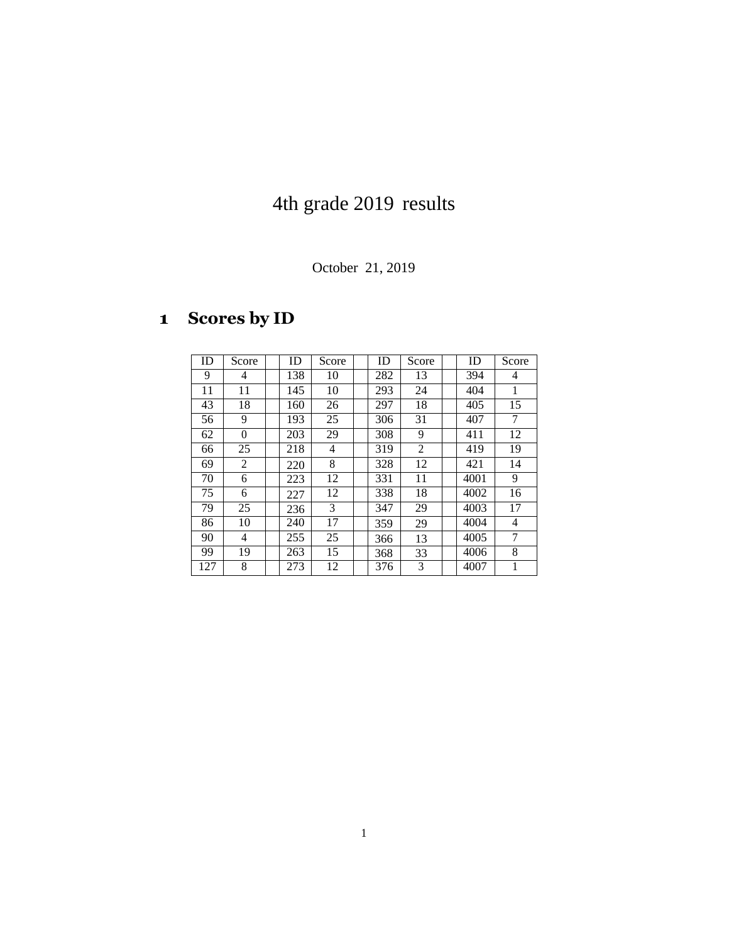## 4th grade 2019 results

October 21, 2019

## **Scores by ID**

| ID  | Score    | ID  | Score | ID  | Score | ID   | Score |
|-----|----------|-----|-------|-----|-------|------|-------|
| 9   | 4        | 138 | 10    | 282 | 13    | 394  | 4     |
| 11  | 11       | 145 | 10    | 293 | 24    | 404  | 1     |
| 43  | 18       | 160 | 26    | 297 | 18    | 405  | 15    |
| 56  | 9        | 193 | 25    | 306 | 31    | 407  | 7     |
| 62  | $\theta$ | 203 | 29    | 308 | 9     | 411  | 12    |
| 66  | 25       | 218 | 4     | 319 | 2     | 419  | 19    |
| 69  | 2        | 220 | 8     | 328 | 12    | 421  | 14    |
| 70  | 6        | 223 | 12    | 331 | 11    | 4001 | 9     |
| 75  | 6        | 227 | 12    | 338 | 18    | 4002 | 16    |
| 79  | 25       | 236 | 3     | 347 | 29    | 4003 | 17    |
| 86  | 10       | 240 | 17    | 359 | 29    | 4004 | 4     |
| 90  | 4        | 255 | 25    | 366 | 13    | 4005 | 7     |
| 99  | 19       | 263 | 15    | 368 | 33    | 4006 | 8     |
| 127 | 8        | 273 | 12    | 376 | 3     | 4007 | 1     |